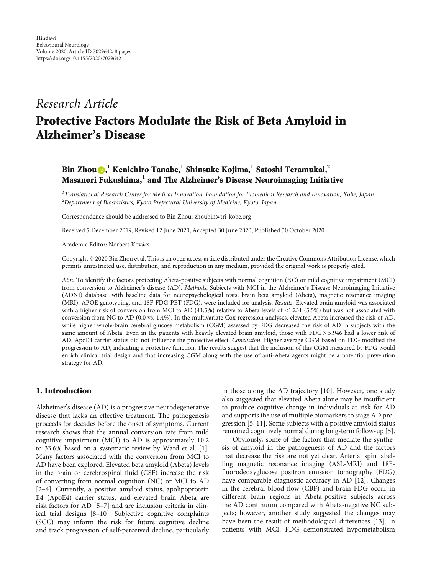## Research Article

# Protective Factors Modulate the Risk of Beta Amyloid in Alzheimer's Disease

### Bin Zhou , **<sup>1</sup>** Kenichiro Tanabe,**<sup>1</sup>** Shinsuke Kojima,**<sup>1</sup>** Satoshi Teramukai,**<sup>2</sup>** Masanori Fukushima,**<sup>1</sup>** and The Alzheimer's Disease Neuroimaging Initiative

 $^{\text{1}}$ Translational Research Center for Medical Innovation, Foundation for Biomedical Research and Innovation, Kobe, Japan  $^2$ Department of Biostatistics, Kyoto Prefectural University of Medicine, Kyoto, Japan

Correspondence should be addressed to Bin Zhou; zhoubin@tri-kobe.org

Received 5 December 2019; Revised 12 June 2020; Accepted 30 June 2020; Published 30 October 2020

Academic Editor: Norbert Kovács

Copyright © 2020 Bin Zhou et al. This is an open access article distributed under the [Creative Commons Attribution License](https://creativecommons.org/licenses/by/4.0/), which permits unrestricted use, distribution, and reproduction in any medium, provided the original work is properly cited.

Aim. To identify the factors protecting Abeta-positive subjects with normal cognition (NC) or mild cognitive impairment (MCI) from conversion to Alzheimer's disease (AD). Methods. Subjects with MCI in the Alzheimer's Disease Neuroimaging Initiative (ADNI) database, with baseline data for neuropsychological tests, brain beta amyloid (Abeta), magnetic resonance imaging (MRI), APOE genotyping, and 18F-FDG-PET (FDG), were included for analysis. Results. Elevated brain amyloid was associated with a higher risk of conversion from MCI to AD (41.5%) relative to Abeta levels of <1.231 (5.5%) but was not associated with conversion from NC to AD (0.0 vs. 1.4%). In the multivariate Cox regression analyses, elevated Abeta increased the risk of AD, while higher whole-brain cerebral glucose metabolism (CGM) assessed by FDG decreased the risk of AD in subjects with the same amount of Abeta. Even in the patients with heavily elevated brain amyloid, those with FDG > 5*:*946 had a lower risk of AD. ApoE4 carrier status did not influence the protective effect. Conclusion. Higher average CGM based on FDG modified the progression to AD, indicating a protective function. The results suggest that the inclusion of this CGM measured by FDG would enrich clinical trial design and that increasing CGM along with the use of anti-Abeta agents might be a potential prevention strategy for AD.

#### 1. Introduction

Alzheimer's disease (AD) is a progressive neurodegenerative disease that lacks an effective treatment. The pathogenesis proceeds for decades before the onset of symptoms. Current research shows that the annual conversion rate from mild cognitive impairment (MCI) to AD is approximately 10.2 to 33.6% based on a systematic review by Ward et al. [[1](#page-6-0)]. Many factors associated with the conversion from MCI to AD have been explored. Elevated beta amyloid (Abeta) levels in the brain or cerebrospinal fluid (CSF) increase the risk of converting from normal cognition (NC) or MCI to AD [\[2](#page-6-0)–[4](#page-6-0)]. Currently, a positive amyloid status, apolipoprotein E4 (ApoE4) carrier status, and elevated brain Abeta are risk factors for AD [\[5](#page-6-0)–[7\]](#page-6-0) and are inclusion criteria in clinical trial designs [[8](#page-6-0)–[10](#page-6-0)]. Subjective cognitive complaints (SCC) may inform the risk for future cognitive decline and track progression of self-perceived decline, particularly in those along the AD trajectory [[10](#page-6-0)]. However, one study also suggested that elevated Abeta alone may be insufficient to produce cognitive change in individuals at risk for AD and supports the use of multiple biomarkers to stage AD progression [[5](#page-6-0), [11](#page-6-0)]. Some subjects with a positive amyloid status remained cognitively normal during long-term follow-up [[5](#page-6-0)].

Obviously, some of the factors that mediate the synthesis of amyloid in the pathogenesis of AD and the factors that decrease the risk are not yet clear. Arterial spin labelling magnetic resonance imaging (ASL-MRI) and 18Ffluorodeoxyglucose positron emission tomography (FDG) have comparable diagnostic accuracy in AD [\[12\]](#page-6-0). Changes in the cerebral blood flow (CBF) and brain FDG occur in different brain regions in Abeta-positive subjects across the AD continuum compared with Abeta-negative NC subjects; however, another study suggested the changes may have been the result of methodological differences [\[13\]](#page-6-0). In patients with MCI, FDG demonstrated hypometabolism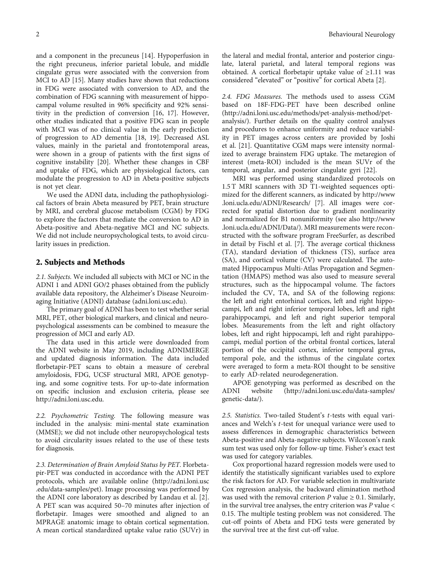and a component in the precuneus [[14](#page-6-0)]. Hypoperfusion in the right precuneus, inferior parietal lobule, and middle cingulate gyrus were associated with the conversion from MCI to AD [[15](#page-6-0)]. Many studies have shown that reductions in FDG were associated with conversion to AD, and the combination of FDG scanning with measurement of hippocampal volume resulted in 96% specificity and 92% sensitivity in the prediction of conversion [\[16, 17](#page-6-0)]. However, other studies indicated that a positive FDG scan in people with MCI was of no clinical value in the early prediction of progression to AD dementia [[18](#page-6-0), [19\]](#page-6-0). Decreased ASL values, mainly in the parietal and frontotemporal areas, were shown in a group of patients with the first signs of cognitive instability [[20](#page-6-0)]. Whether these changes in CBF and uptake of FDG, which are physiological factors, can modulate the progression to AD in Abeta-positive subjects is not yet clear.

We used the ADNI data, including the pathophysiological factors of brain Abeta measured by PET, brain structure by MRI, and cerebral glucose metabolism (CGM) by FDG to explore the factors that mediate the conversion to AD in Abeta-positive and Abeta-negative MCI and NC subjects. We did not include neuropsychological tests, to avoid circularity issues in prediction.

#### 2. Subjects and Methods

2.1. Subjects. We included all subjects with MCI or NC in the ADNI 1 and ADNI GO/2 phases obtained from the publicly available data repository, the Alzheimer's Disease Neuroimaging Initiative (ADNI) database ([adni.loni.usc.edu\)](http://adni.loni.usc.edu).

The primary goal of ADNI has been to test whether serial MRI, PET, other biological markers, and clinical and neuropsychological assessments can be combined to measure the progression of MCI and early AD.

The data used in this article were downloaded from the ADNI website in May 2019, including ADNIMERGE and updated diagnosis information. The data included florbetapir-PET scans to obtain a measure of cerebral amyloidosis, FDG, UCSF structural MRI, APOE genotyping, and some cognitive tests. For up-to-date information on specific inclusion and exclusion criteria, please see [http://adni.loni.usc.edu.](http://adni.loni.usc.edu)

2.2. Psychometric Testing. The following measure was included in the analysis: mini-mental state examination (MMSE); we did not include other neuropsychological tests to avoid circularity issues related to the use of these tests for diagnosis.

2.3. Determination of Brain Amyloid Status by PET. Florbetapir-PET was conducted in accordance with the ADNI PET protocols, which are available online [\(http://adni.loni.usc](http://adni.loni.usc.edu/data-samples/pet) [.edu/data-samples/pet\)](http://adni.loni.usc.edu/data-samples/pet). Image processing was performed by the ADNI core laboratory as described by Landau et al. [[2](#page-6-0)]. A PET scan was acquired 50–70 minutes after injection of florbetapir. Images were smoothed and aligned to an MPRAGE anatomic image to obtain cortical segmentation. A mean cortical standardized uptake value ratio (SUVr) in

the lateral and medial frontal, anterior and posterior cingulate, lateral parietal, and lateral temporal regions was obtained. A cortical florbetapir uptake value of ≥1.11 was considered "elevated" or "positive" for cortical Abeta [[2\]](#page-6-0).

2.4. FDG Measures. The methods used to assess CGM based on 18F-FDG-PET have been described online [\(http://adni.loni.usc.edu/methods/pet-analysis-method/pet](http://adni.loni.usc.edu/methods/pet-analysis-method/pet-analysis/)[analysis/](http://adni.loni.usc.edu/methods/pet-analysis-method/pet-analysis/)). Further details on the quality control analyses and procedures to enhance uniformity and reduce variability in PET images across centers are provided by Joshi et al. [\[21\]](#page-7-0). Quantitative CGM maps were intensity normalized to average brainstem FDG uptake. The metaregion of interest (meta-ROI) included is the mean SUVr of the temporal, angular, and posterior cingulate gyri [\[22](#page-7-0)].

MRI was performed using standardized protocols on 1.5 T MRI scanners with 3D T1-weighted sequences optimized for the different scanners, as indicated by [http://www](http://www.loni.ucla.edu/ADNI/Research/) [.loni.ucla.edu/ADNI/Research/](http://www.loni.ucla.edu/ADNI/Research/) [[7](#page-6-0)]. All images were corrected for spatial distortion due to gradient nonlinearity and normalized for B1 nonuniformity (see also [http://www](http://www.loni.ucla.edu/ADNI/Data/) [.loni.ucla.edu/ADNI/Data/\)](http://www.loni.ucla.edu/ADNI/Data/). MRI measurements were reconstructed with the software program FreeSurfer, as described in detail by Fischl et al. [\[7](#page-6-0)]. The average cortical thickness (TA), standard deviation of thickness (TS), surface area (SA), and cortical volume (CV) were calculated. The automated Hippocampus Multi-Atlas Propagation and Segmentation (HMAPS) method was also used to measure several structures, such as the hippocampal volume. The factors included the CV, TA, and SA of the following regions: the left and right entorhinal cortices, left and right hippocampi, left and right inferior temporal lobes, left and right parahippocampi, and left and right superior temporal lobes. Measurements from the left and right olfactory lobes, left and right hippocampi, left and right parahippocampi, medial portion of the orbital frontal cortices, lateral portion of the occipital cortex, inferior temporal gyrus, temporal pole, and the isthmus of the cingulate cortex were averaged to form a meta-ROI thought to be sensitive to early AD-related neurodegeneration.

APOE genotyping was performed as described on the ADNI website ([http://adni.loni.usc.edu/data-samples/](http://adni.loni.usc.edu/data-samples/genetic-data/) [genetic-data/\)](http://adni.loni.usc.edu/data-samples/genetic-data/).

2.5. Statistics. Two-tailed Student's *t*-tests with equal variances and Welch's *t*-test for unequal variance were used to assess differences in demographic characteristics between Abeta-positive and Abeta-negative subjects. Wilcoxon's rank sum test was used only for follow-up time. Fisher's exact test was used for category variables.

Cox proportional hazard regression models were used to identify the statistically significant variables used to explore the risk factors for AD. For variable selection in multivariate Cox regression analysis, the backward elimination method was used with the removal criterion  $P$  value  $\geq 0.1$ . Similarly, in the survival tree analyses, the entry criterion was *P* value < 0.15. The multiple testing problem was not considered. The cut-off points of Abeta and FDG tests were generated by the survival tree at the first cut-off value.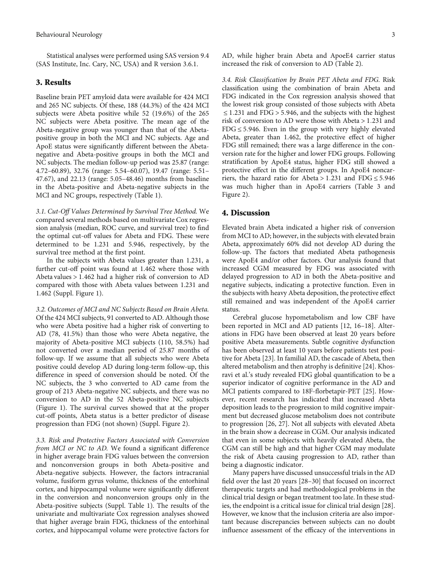Statistical analyses were performed using SAS version 9.4 (SAS Institute, Inc. Cary, NC, USA) and R version 3.6.1.

#### 3. Results

Baseline brain PET amyloid data were available for 424 MCI and 265 NC subjects. Of these, 188 (44.3%) of the 424 MCI subjects were Abeta positive while 52 (19.6%) of the 265 NC subjects were Abeta positive. The mean age of the Abeta-negative group was younger than that of the Abetapositive group in both the MCI and NC subjects. Age and ApoE status were significantly different between the Abetanegative and Abeta-positive groups in both the MCI and NC subjects. The median follow-up period was 25.87 (range: 4.72–60.89), 32.76 (range: 5.54–60.07), 19.47 (range: 5.51– 47.67), and 22.13 (range: 5.05–48.46) months from baseline in the Abeta-positive and Abeta-negative subjects in the MCI and NC groups, respectively (Table [1](#page-3-0)).

3.1. Cut-Off Values Determined by Survival Tree Method. We compared several methods based on multivariate Cox regression analysis (median, ROC curve, and survival tree) to find the optimal cut-off values for Abeta and FDG. These were determined to be 1.231 and 5.946, respectively, by the survival tree method at the first point.

In the subjects with Abeta values greater than 1.231, a further cut-off point was found at 1.462 where those with Abeta values > 1*:*462 had a higher risk of conversion to AD compared with those with Abeta values between 1.231 and 1.462 (Suppl. Figure [1](#page-6-0)).

3.2. Outcomes of MCI and NC Subjects Based on Brain Abeta. Of the 424 MCI subjects, 91 converted to AD. Although those who were Abeta positive had a higher risk of converting to AD (78, 41.5%) than those who were Abeta negative, the majority of Abeta-positive MCI subjects (110, 58.5%) had not converted over a median period of 25.87 months of follow-up. If we assume that all subjects who were Abeta positive could develop AD during long-term follow-up, this difference in speed of conversion should be noted. Of the NC subjects, the 3 who converted to AD came from the group of 213 Abeta-negative NC subjects, and there was no conversion to AD in the 52 Abeta-positive NC subjects (Figure [1\)](#page-3-0). The survival curves showed that at the proper cut-off points, Abeta status is a better predictor of disease progression than FDG (not shown) (Suppl. Figure [2](#page-6-0)).

3.3. Risk and Protective Factors Associated with Conversion from MCI or NC to AD. We found a significant difference in higher average brain FDG values between the conversion and nonconversion groups in both Abeta-positive and Abeta-negative subjects. However, the factors intracranial volume, fusiform gyrus volume, thickness of the entorhinal cortex, and hippocampal volume were significantly different in the conversion and nonconversion groups only in the Abeta-positive subjects (Suppl. Table [1](#page-6-0)). The results of the univariate and multivariate Cox regression analyses showed that higher average brain FDG, thickness of the entorhinal cortex, and hippocampal volume were protective factors for

AD, while higher brain Abeta and ApoeE4 carrier status increased the risk of conversion to AD (Table [2\)](#page-3-0).

3.4. Risk Classification by Brain PET Abeta and FDG. Risk classification using the combination of brain Abeta and FDG indicated in the Cox regression analysis showed that the lowest risk group consisted of those subjects with Abeta ≤ 1*:*231 and FDG > 5*:*946, and the subjects with the highest risk of conversion to AD were those with Abeta > 1*:*231 and FDG ≤ 5*:*946. Even in the group with very highly elevated Abeta, greater than 1.462, the protective effect of higher FDG still remained; there was a large difference in the conversion rate for the higher and lower FDG groups. Following stratification by ApoE4 status, higher FDG still showed a protective effect in the different groups. In ApoE4 noncarriers, the hazard ratio for Abeta > 1*:*231 and FDG ≤ 5*:*946 was much higher than in ApoE4 carriers (Table [3](#page-4-0) and Figure [2\)](#page-5-0).

#### 4. Discussion

Elevated brain Abeta indicated a higher risk of conversion from MCI to AD; however, in the subjects with elevated brain Abeta, approximately 60% did not develop AD during the follow-up. The factors that mediated Abeta pathogenesis were ApoE4 and/or other factors. Our analysis found that increased CGM measured by FDG was associated with delayed progression to AD in both the Abeta-positive and negative subjects, indicating a protective function. Even in the subjects with heavy Abeta deposition, the protective effect still remained and was independent of the ApoE4 carrier status.

Cerebral glucose hypometabolism and low CBF have been reported in MCI and AD patients [\[12](#page-6-0), [16](#page-6-0)–[18](#page-6-0)]. Alterations in FDG have been observed at least 20 years before positive Abeta measurements. Subtle cognitive dysfunction has been observed at least 10 years before patients test positive for Abeta [\[23\]](#page-7-0). In familial AD, the cascade of Abeta, then altered metabolism and then atrophy is definitive [\[24](#page-7-0)]. Khosravi et al.'s study revealed FDG global quantification to be a superior indicator of cognitive performance in the AD and MCI patients compared to 18F-florbetapir-PET [[25](#page-7-0)]. However, recent research has indicated that increased Abeta deposition leads to the progression to mild cognitive impairment but decreased glucose metabolism does not contribute to progression [[26, 27](#page-7-0)]. Not all subjects with elevated Abeta in the brain show a decrease in CGM. Our analysis indicated that even in some subjects with heavily elevated Abeta, the CGM can still be high and that higher CGM may modulate the risk of Abeta causing progression to AD, rather than being a diagnostic indicator.

Many papers have discussed unsuccessful trials in the AD field over the last 20 years [\[28](#page-7-0)–[30\]](#page-7-0) that focused on incorrect therapeutic targets and had methodological problems in the clinical trial design or began treatment too late. In these studies, the endpoint is a critical issue for clinical trial design [[28](#page-7-0)]. However, we know that the inclusion criteria are also important because discrepancies between subjects can no doubt influence assessment of the efficacy of the interventions in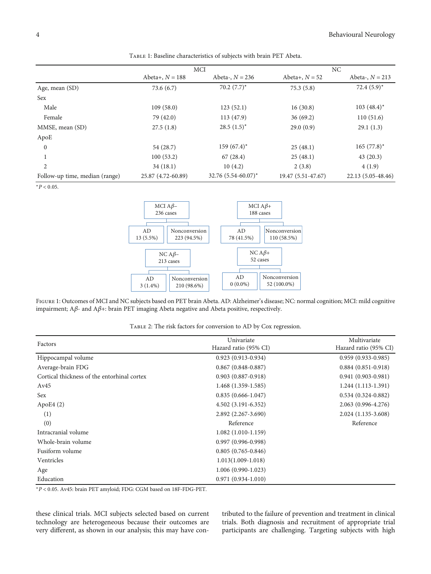<span id="page-3-0"></span>

|                                | <b>MCI</b>         |                          | NC                 |                    |
|--------------------------------|--------------------|--------------------------|--------------------|--------------------|
|                                | Abeta+, $N = 188$  | Abeta-, $N = 236$        | Abeta+, $N = 52$   | Abeta-, $N = 213$  |
| Age, mean (SD)                 | 73.6(6.7)          | $70.2~(7.7)^*$           | 75.3(5.8)          | $72.4(5.9)^*$      |
| Sex                            |                    |                          |                    |                    |
| Male                           | 109(58.0)          | 123(52.1)                | 16(30.8)           | $103(48.4)^*$      |
| Female                         | 79 (42.0)          | 113 (47.9)               | 36(69.2)           | 110(51.6)          |
| MMSE, mean (SD)                | 27.5(1.8)          | $28.5(1.5)^*$            | 29.0(0.9)          | 29.1(1.3)          |
| ApoE                           |                    |                          |                    |                    |
| $\mathbf{0}$                   | 54 (28.7)          | $159(67.4)^*$            | 25(48.1)           | $165 (77.8)^*$     |
|                                | 100(53.2)          | 67(28.4)                 | 25(48.1)           | 43(20.3)           |
| 2                              | 34(18.1)           | 10(4.2)                  | 2(3.8)             | 4(1.9)             |
| Follow-up time, median (range) | 25.87 (4.72-60.89) | $32.76$ $(5.54-60.07)^*$ | 19.47 (5.51-47.67) | 22.13 (5.05-48.46) |

Table 1: Baseline characteristics of subjects with brain PET Abeta.

<sup>∗</sup>*P* < 0*:*05.



Figure 1: Outcomes of MCI and NC subjects based on PET brain Abeta. AD: Alzheimer's disease; NC: normal cognition; MCI: mild cognitive impairment; A*β*- and A*β*+: brain PET imaging Abeta negative and Abeta positive, respectively.

Table 2: The risk factors for conversion to AD by Cox regression.

| Factors                                     | Univariate<br>Hazard ratio (95% CI) | Multivariate<br>Hazard ratio (95% CI) |
|---------------------------------------------|-------------------------------------|---------------------------------------|
| Hippocampal volume                          | $0.923(0.913-0.934)$                | $0.959(0.933 - 0.985)$                |
| Average-brain FDG                           | $0.867$ $(0.848 - 0.887)$           | $0.884(0.851-0.918)$                  |
| Cortical thickness of the entorhinal cortex | $0.903(0.887 - 0.918)$              | $0.941(0.903 - 0.981)$                |
| Av45                                        | $1.468(1.359-1.585)$                | $1.244(1.113-1.391)$                  |
| Sex                                         | $0.835(0.666-1.047)$                | $0.534(0.324-0.882)$                  |
| ApoE4 $(2)$                                 | $4.502(3.191 - 6.352)$              | 2.063 (0.996-4.276)                   |
| (1)                                         | 2.892 (2.267-3.690)                 | 2.024 (1.135-3.608)                   |
| (0)                                         | Reference                           | Reference                             |
| Intracranial volume                         | $1.082(1.010-1.159)$                |                                       |
| Whole-brain volume                          | $0.997(0.996 - 0.998)$              |                                       |
| Fusiform volume                             | $0.805(0.765-0.846)$                |                                       |
| Ventricles                                  | $1.013(1.009-1.018)$                |                                       |
| Age                                         | $1.006(0.990-1.023)$                |                                       |
| Education                                   | $0.971(0.934-1.010)$                |                                       |

<sup>∗</sup>*P* < 0*:*05. Av45: brain PET amyloid; FDG: CGM based on 18F-FDG-PET.

these clinical trials. MCI subjects selected based on current technology are heterogeneous because their outcomes are very different, as shown in our analysis; this may have contributed to the failure of prevention and treatment in clinical trials. Both diagnosis and recruitment of appropriate trial participants are challenging. Targeting subjects with high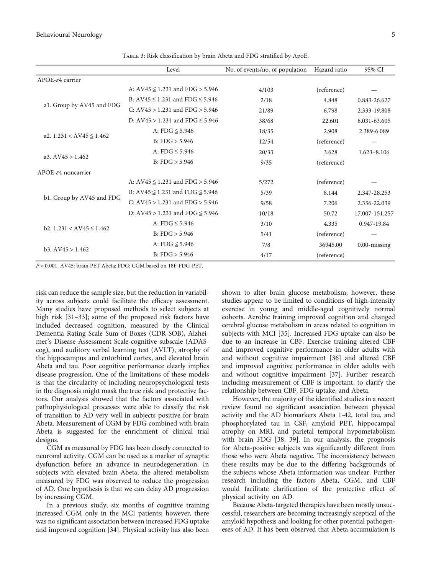<span id="page-4-0"></span>Behavioural Neurology 5

|                                    | Level                                 | No. of events/no. of population | Hazard ratio | 95% CI          |
|------------------------------------|---------------------------------------|---------------------------------|--------------|-----------------|
| APOE-ε4 carrier                    |                                       |                                 |              |                 |
| a1. Group by AV45 and FDG          | A: $AV45 \le 1.231$ and $FDG > 5.946$ | 4/103                           | (reference)  |                 |
|                                    | B: AV45 ≤ 1.231 and FDG ≤ 5.946       | 2/18                            | 4.848        | 0.883-26.627    |
|                                    | C: $AV45 > 1.231$ and $FDG > 5.946$   | 21/89                           | 6.798        | 2.333-19.808    |
|                                    | D: $AV45 > 1.231$ and $FDG \le 5.946$ | 38/68                           | 22.601       | 8.031-63.605    |
| a2. $1.231 < AVA5 \le 1.462$       | A: FDG $\leq$ 5.946                   | 18/35                           | 2.908        | 2.389-6.089     |
|                                    | B: FDG > 5.946                        | 12/54                           | (reference)  |                 |
| a3. $AV45 > 1.462$                 | A: FDG $\leq$ 5.946                   | 20/33                           | 3.628        | $1.623 - 8.106$ |
|                                    | B: FDG > 5.946                        | 9/35                            | (reference)  |                 |
| $APOE-64$ noncarrier               |                                       |                                 |              |                 |
| b1. Group by AV45 and FDG          | A: $AV45 \le 1.231$ and $FDG > 5.946$ | 5/272                           | (reference)  |                 |
|                                    | B: AV45 ≤ 1.231 and FDG ≤ 5.946       | 5/39                            | 8.144        | 2.347-28.253    |
|                                    | C: $AV45 > 1.231$ and $FDG > 5.946$   | 9/58                            | 7.206        | 2.356-22.039    |
|                                    | D: $AV45 > 1.231$ and $FDG \le 5.946$ | 10/18                           | 50.72        | 17.007-151.257  |
| b2. $1.231 < A\sqrt{45} \le 1.462$ | A: FDG $\leq$ 5.946                   | 3/10                            | 4.335        | 0.947-19.84     |
|                                    | B: FDG > 5.946                        | 5/41                            | (reference)  |                 |
| b3. AV45 > 1.462                   | A: FDG $\leq$ 5.946                   | 7/8                             | 36945.00     | $0.00$ -missing |
|                                    | B: FDG > 5.946                        | 4/17                            | (reference)  |                 |

Table 3: Risk classification by brain Abeta and FDG stratified by ApoE.

*P* < 0*:*001. AV45: brain PET Abeta; FDG: CGM based on 18F-FDG-PET.

risk can reduce the sample size, but the reduction in variability across subjects could facilitate the efficacy assessment. Many studies have proposed methods to select subjects at high risk [\[31](#page-7-0)–[33](#page-7-0)]; some of the proposed risk factors have included decreased cognition, measured by the Clinical Dementia Rating Scale Sum of Boxes (CDR-SOB), Alzheimer's Disease Assessment Scale-cognitive subscale (ADAScog), and auditory verbal learning test (AVLT), atrophy of the hippocampus and entorhinal cortex, and elevated brain Abeta and tau. Poor cognitive performance clearly implies disease progression. One of the limitations of these models is that the circularity of including neuropsychological tests in the diagnosis might mask the true risk and protective factors. Our analysis showed that the factors associated with pathophysiological processes were able to classify the risk of transition to AD very well in subjects positive for brain Abeta. Measurement of CGM by FDG combined with brain Abeta is suggested for the enrichment of clinical trial designs.

CGM as measured by FDG has been closely connected to neuronal activity. CGM can be used as a marker of synaptic dysfunction before an advance in neurodegeneration. In subjects with elevated brain Abeta, the altered metabolism measured by FDG was observed to reduce the progression of AD. One hypothesis is that we can delay AD progression by increasing CGM.

In a previous study, six months of cognitive training increased CGM only in the MCI patients; however, there was no significant association between increased FDG uptake and improved cognition [[34](#page-7-0)]. Physical activity has also been

shown to alter brain glucose metabolism; however, these studies appear to be limited to conditions of high-intensity exercise in young and middle-aged cognitively normal cohorts. Aerobic training improved cognition and changed cerebral glucose metabolism in areas related to cognition in subjects with MCI [[35](#page-7-0)]. Increased FDG uptake can also be due to an increase in CBF. Exercise training altered CBF and improved cognitive performance in older adults with and without cognitive impairment [\[36\]](#page-7-0) and altered CBF and improved cognitive performance in older adults with and without cognitive impairment [[37](#page-7-0)]. Further research including measurement of CBF is important, to clarify the relationship between CBF, FDG uptake, and Abeta.

However, the majority of the identified studies in a recent review found no significant association between physical activity and the AD biomarkers Abeta 1-42, total tau, and phosphorylated tau in CSF, amyloid PET, hippocampal atrophy on MRI, and parietal temporal hypometabolism with brain FDG [[38](#page-7-0), [39](#page-7-0)]. In our analysis, the prognosis for Abeta-positive subjects was significantly different from those who were Abeta negative. The inconsistency between these results may be due to the differing backgrounds of the subjects whose Abeta information was unclear. Further research including the factors Abeta, CGM, and CBF would facilitate clarification of the protective effect of physical activity on AD.

Because Abeta-targeted therapies have been mostly unsuccessful, researchers are becoming increasingly sceptical of the amyloid hypothesis and looking for other potential pathogeneses of AD. It has been observed that Abeta accumulation is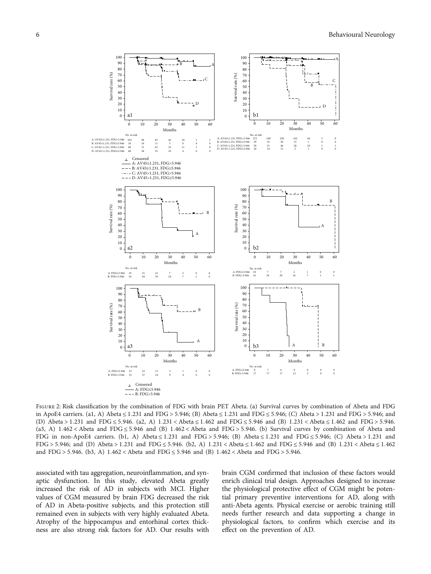<span id="page-5-0"></span>

Figure 2: Risk classification by the combination of FDG with brain PET Abeta. (a) Survival curves by combination of Abeta and FDG in ApoE4 carriers. (a1, A) Abeta ≤ 1*:*231 and FDG > 5*:*946; (B) Abeta ≤ 1*:*231 and FDG ≤ 5*:*946; (C) Abeta > 1*:*231 and FDG > 5*:*946; and (D) Abeta > 1*:*231 and FDG ≤ 5*:*946. (a2, A) 1*:*231 < Abeta ≤ 1*:*462 and FDG ≤ 5*:*946 and (B) 1*:*231 < Abeta ≤ 1*:*462 and FDG > 5*:*946. (a3, A) 1*:*462 < Abeta and FDG ≤ 5*:*946 and (B) 1*:*462 < Abeta and FDG > 5*:*946. (b) Survival curves by combination of Abeta and FDG in non-ApoE4 carriers. (b1, A) Abeta ≤ 1*:*231 and FDG > 5*:*946; (B) Abeta ≤ 1*:*231 and FDG ≤ 5*:*946; (C) Abeta > 1*:*231 and FDG > 5*:*946; and (D) Abeta > 1*:*231 and FDG ≤ 5*:*946. (b2, A) 1*:*231 < Abeta ≤ 1*:*462 and FDG ≤ 5*:*946 and (B) 1*:*231 < Abeta ≤ 1*:*462 and FDG > 5*:*946. (b3, A) 1*:*462 < Abeta and FDG ≤ 5*:*946 and (B) 1*:*462 < Abeta and FDG > 5*:*946.

associated with tau aggregation, neuroinflammation, and synaptic dysfunction. In this study, elevated Abeta greatly increased the risk of AD in subjects with MCI. Higher values of CGM measured by brain FDG decreased the risk of AD in Abeta-positive subjects, and this protection still remained even in subjects with very highly evaluated Abeta. Atrophy of the hippocampus and entorhinal cortex thickness are also strong risk factors for AD. Our results with brain CGM confirmed that inclusion of these factors would enrich clinical trial design. Approaches designed to increase the physiological protective effect of CGM might be potential primary preventive interventions for AD, along with anti-Abeta agents. Physical exercise or aerobic training still needs further research and data supporting a change in physiological factors, to confirm which exercise and its effect on the prevention of AD.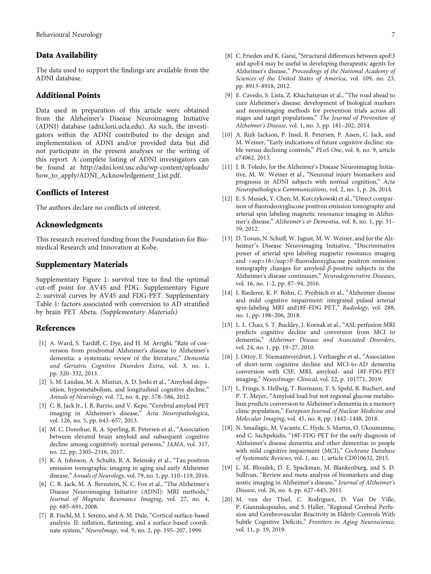#### <span id="page-6-0"></span>Data Availability

The data used to support the findings are available from the ADNI database.

#### Additional Points

Data used in preparation of this article were obtained from the Alzheimer's Disease Neuroimaging Initiative (ADNI) database (adni.loni.ucla.edu). As such, the investigators within the ADNI contributed to the design and implementation of ADNI and/or provided data but did not participate in the present analyses or the writing of this report. A complete listing of ADNI investigators can be found at [http://adni.loni.usc.edu/wp-content/uploads/](http://adni.loni.usc.edu/wp-content/uploads/how_to_apply/ADNI_Acknowledgement_List.pdf.) [how\\_to\\_apply/ADNI\\_Acknowledgement\\_List.pdf.](http://adni.loni.usc.edu/wp-content/uploads/how_to_apply/ADNI_Acknowledgement_List.pdf.)

#### Conflicts of Interest

The authors declare no conflicts of interest.

#### Acknowledgments

This research received funding from the Foundation for Biomedical Research and Innovation at Kobe.

#### Supplementary Materials

Supplementary Figure 1: survival tree to find the optimal cut-off point for AV45 and PDG. Supplementary Figure 2: survival curves by AV45 and FDG-PET. Supplementary Table 1: factors associated with conversion to AD stratified by brain PET Abeta. [\(Supplementary Materials\)](http://downloads.hindawi.com/journals/bn/2020/7029642.f1.pdf)

#### References

- [1] A. Ward, S. Tardiff, C. Dye, and H. M. Arrighi, "Rate of conversion from prodromal Alzheimer's disease to Alzheimer's dementia: a systematic review of the literature," Dementia and Geriatric Cognitive Disorders Extra, vol. 3, no. 1, pp. 320–332, 2013.
- [2] S. M. Landau, M. A. Mintun, A. D. Joshi et al., "Amyloid deposition, hypometabolism, and longitudinal cognitive decline," Annals of Neurology, vol. 72, no. 4, pp. 578–586, 2012.
- [3] C. R. Jack Jr., J. R. Barrio, and V. Kepe, "Cerebral amyloid PET imaging in Alzheimer's disease," Acta Neuropathologica, vol. 126, no. 5, pp. 643–657, 2013.
- [4] M. C. Donohue, R. A. Sperling, R. Petersen et al., "Association between elevated brain amyloid and subsequent cognitive decline among cognitively normal persons," JAMA, vol. 317, no. 22, pp. 2305–2316, 2017.
- [5] K. A. Johnson, A. Schultz, R. A. Betensky et al., "Tau positron emission tomographic imaging in aging and early Alzheimer disease," Annals of Neurology, vol. 79, no. 1, pp. 110–119, 2016.
- [6] C. R. Jack, M. A. Bernstein, N. C. Fox et al., "The Alzheimer's Disease Neuroimaging Initiative (ADNI): MRI methods," Journal of Magnetic Resonance Imaging, vol. 27, no. 4, pp. 685–691, 2008.
- [7] B. Fischl, M. I. Sereno, and A. M. Dale, "Cortical surface-based analysis. II: inflation, flattening, and a surface-based coordinate system," NeuroImage, vol. 9, no. 2, pp. 195–207, 1999.
- [8] C. Frieden and K. Garai, "Structural differences between apoE3 and apoE4 may be useful in developing therapeutic agents for Alzheimer's disease," Proceedings of the National Academy of Sciences of the United States of America, vol. 109, no. 23, pp. 8913–8918, 2012.
- [9] E. Cavedo, S. Lista, Z. Khachaturian et al., "The road ahead to cure Alzheimer's disease: development of biological markers and neuroimaging methods for prevention trials across all stages and target populations," The Journal of Prevention of Alzheimer's Disease, vol. 1, no. 3, pp. 181–202, 2014.
- [10] A. Rizk-Jackson, P. Insel, R. Petersen, P. Aisen, C. Jack, and M. Weiner, "Early indications of future cognitive decline: stable versus declining controls," PLoS One, vol. 8, no. 9, article e74062, 2013.
- [11] J. B. Toledo, for the Alzheimer's Disease Neuroimaging Initiative, M. W. Weiner et al., "Neuronal injury biomarkers and prognosis in ADNI subjects with normal cognition," Acta Neuropathologica Communications, vol. 2, no. 1, p. 26, 2014.
- [12] E. S. Musiek, Y. Chen, M. Korczykowski et al., "Direct comparison of fluorodeoxyglucose positron emission tomography and arterial spin labeling magnetic resonance imaging in Alzheimer's disease," Alzheimer's & Dementia, vol. 8, no. 1, pp. 51-59, 2012.
- [13] D. Tosun, N. Schuff, W. Jagust, M. W. Weiner, and for the Alzheimer''s Disease Neuroimaging Initiative, "Discriminative power of arterial spin labeling magnetic resonance imaging and <sup>18</sup>F-fluorodeoxyglucose positron emission tomography changes for amyloid-*β*-positive subjects in the Alzheimer's disease continuum," Neurodegenerative Diseases, vol. 16, no. 1-2, pp. 87–94, 2016.
- [14] I. Riederer, K. P. Bohn, C. Preibisch et al., "Alzheimer disease and mild cognitive impairment: integrated pulsed arterial spin-labeling MRI and18F-FDG PET," Radiology, vol. 288, no. 1, pp. 198–206, 2018.
- [15] L. L. Chao, S. T. Buckley, J. Kornak et al., "ASL perfusion MRI predicts cognitive decline and conversion from MCI to dementia," Alzheimer Disease and Associated Disorders, vol. 24, no. 1, pp. 19–27, 2010.
- [16] J. Ottoy, E. Niemantsverdriet, J. Verhaeghe et al., "Association of short-term cognitive decline and MCI-to-AD dementia conversion with CSF, MRI, amyloid- and 18F-FDG-PET imaging," NeuroImage: Clinical, vol. 22, p. 101771, 2019.
- [17] L. Frings, S. Hellwig, T. Bormann, T. S. Spehl, R. Buchert, and P. T. Meyer, "Amyloid load but not regional glucose metabolism predicts conversion to Alzheimer's dementia in a memory clinic population," European Journal of Nuclear Medicine and Molecular Imaging, vol. 45, no. 8, pp. 1442–1448, 2018.
- [18] N. Smailagic, M. Vacante, C. Hyde, S. Martin, O. Ukoumunne, and C. Sachpekidis, "18F-FDG PET for the early diagnosis of Alzheimer's disease dementia and other dementias in people with mild cognitive impairment (MCI)," Cochrane Database of Systematic Reviews, vol. 1, no. 1, article CD010632, 2015.
- [19] L. M. Bloudek, D. E. Spackman, M. Blankenburg, and S. D. Sullivan, "Review and meta-analysis of biomarkers and diagnostic imaging in Alzheimer's disease," Journal of Alzheimer's Disease, vol. 26, no. 4, pp. 627–645, 2011.
- [20] M. van der Thiel, C. Rodriguez, D. Van De Ville, P. Giannakopoulos, and S. Haller, "Regional Cerebral Perfusion and Cerebrovascular Reactivity in Elderly Controls With Subtle Cognitive Deficits," Frontiers in Aging Neuroscience, vol. 11, p. 19, 2019.